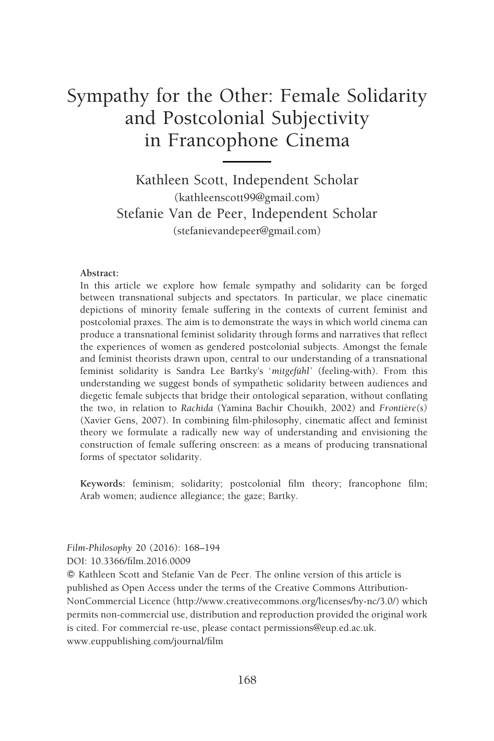# Sympathy for the Other: Female Solidarity and Postcolonial Subjectivity in Francophone Cinema

Kathleen Scott, Independent Scholar (kathleenscott99@gmail.com) Stefanie Van de Peer, Independent Scholar (stefanievandepeer@gmail.com)

#### Abstract:

In this article we explore how female sympathy and solidarity can be forged between transnational subjects and spectators. In particular, we place cinematic depictions of minority female suffering in the contexts of current feminist and postcolonial praxes. The aim is to demonstrate the ways in which world cinema can produce a transnational feminist solidarity through forms and narratives that reflect the experiences of women as gendered postcolonial subjects. Amongst the female and feminist theorists drawn upon, central to our understanding of a transnational feminist solidarity is Sandra Lee Bartky's 'mitgefühl' (feeling-with). From this understanding we suggest bonds of sympathetic solidarity between audiences and diegetic female subjects that bridge their ontological separation, without conflating the two, in relation to Rachida (Yamina Bachir Chouikh, 2002) and  $Frontire(s)$ (Xavier Gens, 2007). In combining film-philosophy, cinematic affect and feminist theory we formulate a radically new way of understanding and envisioning the construction of female suffering onscreen: as a means of producing transnational forms of spectator solidarity.

Keywords: feminism; solidarity; postcolonial film theory; francophone film; Arab women; audience allegiance; the gaze; Bartky.

Film-Philosophy 20 (2016): 168–194 DOI: 10.3366/film.2016.0009

*f* Kathleen Scott and Stefanie Van de Peer. The online version of this article is published as Open Access under the terms of the Creative Commons Attribution-NonCommercial Licence (http://www.creativecommons.org/licenses/by-nc/3.0/) which permits non-commercial use, distribution and reproduction provided the original work is cited. For commercial re-use, please contact permissions@eup.ed.ac.uk. www.euppublishing.com/journal/film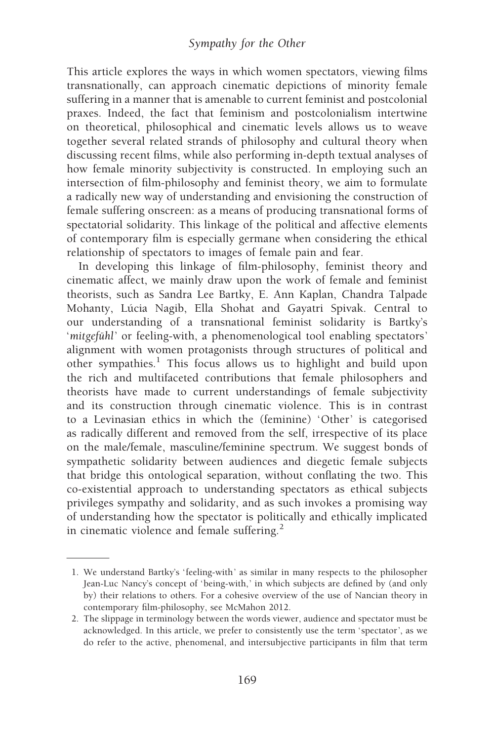This article explores the ways in which women spectators, viewing films transnationally, can approach cinematic depictions of minority female suffering in a manner that is amenable to current feminist and postcolonial praxes. Indeed, the fact that feminism and postcolonialism intertwine on theoretical, philosophical and cinematic levels allows us to weave together several related strands of philosophy and cultural theory when discussing recent films, while also performing in-depth textual analyses of how female minority subjectivity is constructed. In employing such an intersection of film-philosophy and feminist theory, we aim to formulate a radically new way of understanding and envisioning the construction of female suffering onscreen: as a means of producing transnational forms of spectatorial solidarity. This linkage of the political and affective elements of contemporary film is especially germane when considering the ethical relationship of spectators to images of female pain and fear.

In developing this linkage of film-philosophy, feminist theory and cinematic affect, we mainly draw upon the work of female and feminist theorists, such as Sandra Lee Bartky, E. Ann Kaplan, Chandra Talpade Mohanty, Lúcia Nagib, Ella Shohat and Gayatri Spivak. Central to our understanding of a transnational feminist solidarity is Bartky's 'mitgefühl' or feeling-with, a phenomenological tool enabling spectators' alignment with women protagonists through structures of political and other sympathies.<sup>1</sup> This focus allows us to highlight and build upon the rich and multifaceted contributions that female philosophers and theorists have made to current understandings of female subjectivity and its construction through cinematic violence. This is in contrast to a Levinasian ethics in which the (feminine) 'Other' is categorised as radically different and removed from the self, irrespective of its place on the male/female, masculine/feminine spectrum. We suggest bonds of sympathetic solidarity between audiences and diegetic female subjects that bridge this ontological separation, without conflating the two. This co-existential approach to understanding spectators as ethical subjects privileges sympathy and solidarity, and as such invokes a promising way of understanding how the spectator is politically and ethically implicated in cinematic violence and female suffering.<sup>2</sup>

<sup>1.</sup> We understand Bartky's 'feeling-with' as similar in many respects to the philosopher Jean-Luc Nancy's concept of 'being-with,' in which subjects are defined by (and only by) their relations to others. For a cohesive overview of the use of Nancian theory in contemporary film-philosophy, see McMahon 2012.

<sup>2.</sup> The slippage in terminology between the words viewer, audience and spectator must be acknowledged. In this article, we prefer to consistently use the term 'spectator', as we do refer to the active, phenomenal, and intersubjective participants in film that term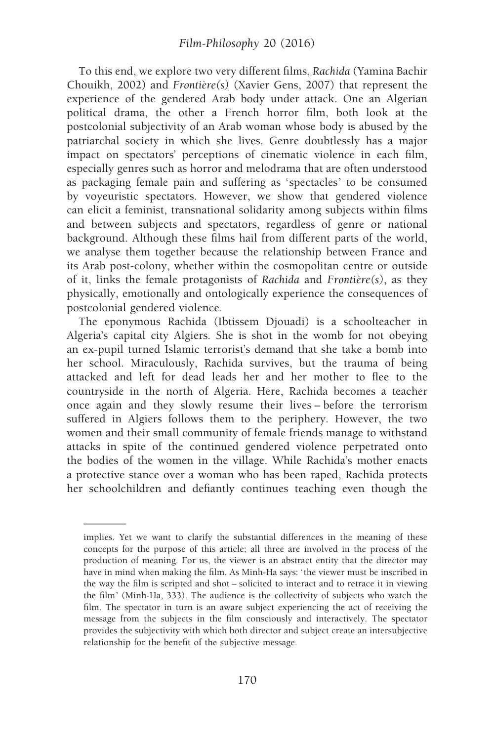To this end, we explore two very different films, Rachida (Yamina Bachir Chouikh, 2002) and  $Frontire(s)$  (Xavier Gens, 2007) that represent the experience of the gendered Arab body under attack. One an Algerian political drama, the other a French horror film, both look at the postcolonial subjectivity of an Arab woman whose body is abused by the patriarchal society in which she lives. Genre doubtlessly has a major impact on spectators' perceptions of cinematic violence in each film, especially genres such as horror and melodrama that are often understood as packaging female pain and suffering as 'spectacles' to be consumed by voyeuristic spectators. However, we show that gendered violence can elicit a feminist, transnational solidarity among subjects within films and between subjects and spectators, regardless of genre or national background. Although these films hail from different parts of the world, we analyse them together because the relationship between France and its Arab post-colony, whether within the cosmopolitan centre or outside of it, links the female protagonists of Rachida and Frontière(s), as they physically, emotionally and ontologically experience the consequences of postcolonial gendered violence.

The eponymous Rachida (Ibtissem Djouadi) is a schoolteacher in Algeria's capital city Algiers. She is shot in the womb for not obeying an ex-pupil turned Islamic terrorist's demand that she take a bomb into her school. Miraculously, Rachida survives, but the trauma of being attacked and left for dead leads her and her mother to flee to the countryside in the north of Algeria. Here, Rachida becomes a teacher once again and they slowly resume their lives – before the terrorism suffered in Algiers follows them to the periphery. However, the two women and their small community of female friends manage to withstand attacks in spite of the continued gendered violence perpetrated onto the bodies of the women in the village. While Rachida's mother enacts a protective stance over a woman who has been raped, Rachida protects her schoolchildren and defiantly continues teaching even though the

implies. Yet we want to clarify the substantial differences in the meaning of these concepts for the purpose of this article; all three are involved in the process of the production of meaning. For us, the viewer is an abstract entity that the director may have in mind when making the film. As Minh-Ha says: ' the viewer must be inscribed in the way the film is scripted and shot – solicited to interact and to retrace it in viewing the film ' (Minh-Ha, 333). The audience is the collectivity of subjects who watch the film. The spectator in turn is an aware subject experiencing the act of receiving the message from the subjects in the film consciously and interactively. The spectator provides the subjectivity with which both director and subject create an intersubjective relationship for the benefit of the subjective message.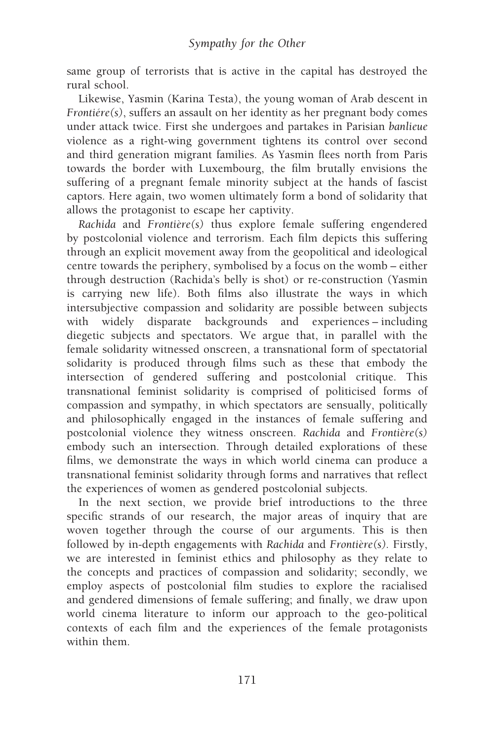same group of terrorists that is active in the capital has destroyed the rural school.

Likewise, Yasmin (Karina Testa), the young woman of Arab descent in  $Frontière(s)$ , suffers an assault on her identity as her pregnant body comes under attack twice. First she undergoes and partakes in Parisian banlieue violence as a right-wing government tightens its control over second and third generation migrant families. As Yasmin flees north from Paris towards the border with Luxembourg, the film brutally envisions the suffering of a pregnant female minority subject at the hands of fascist captors. Here again, two women ultimately form a bond of solidarity that allows the protagonist to escape her captivity.

Rachida and Frontière(s) thus explore female suffering engendered by postcolonial violence and terrorism. Each film depicts this suffering through an explicit movement away from the geopolitical and ideological centre towards the periphery, symbolised by a focus on the womb – either through destruction (Rachida's belly is shot) or re-construction (Yasmin is carrying new life). Both films also illustrate the ways in which intersubjective compassion and solidarity are possible between subjects with widely disparate backgrounds and experiences – including diegetic subjects and spectators. We argue that, in parallel with the female solidarity witnessed onscreen, a transnational form of spectatorial solidarity is produced through films such as these that embody the intersection of gendered suffering and postcolonial critique. This transnational feminist solidarity is comprised of politicised forms of compassion and sympathy, in which spectators are sensually, politically and philosophically engaged in the instances of female suffering and postcolonial violence they witness onscreen. Rachida and Frontière $(s)$ embody such an intersection. Through detailed explorations of these films, we demonstrate the ways in which world cinema can produce a transnational feminist solidarity through forms and narratives that reflect the experiences of women as gendered postcolonial subjects.

In the next section, we provide brief introductions to the three specific strands of our research, the major areas of inquiry that are woven together through the course of our arguments. This is then followed by in-depth engagements with Rachida and Frontière(s). Firstly, we are interested in feminist ethics and philosophy as they relate to the concepts and practices of compassion and solidarity; secondly, we employ aspects of postcolonial film studies to explore the racialised and gendered dimensions of female suffering; and finally, we draw upon world cinema literature to inform our approach to the geo-political contexts of each film and the experiences of the female protagonists within them.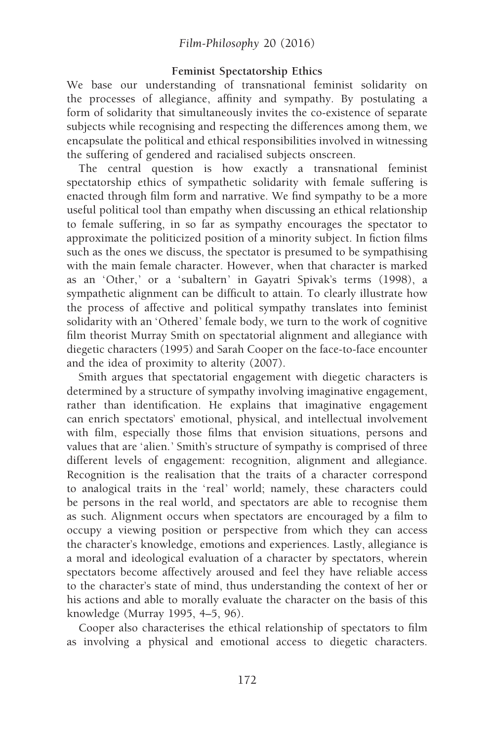#### Feminist Spectatorship Ethics

We base our understanding of transnational feminist solidarity on the processes of allegiance, affinity and sympathy. By postulating a form of solidarity that simultaneously invites the co-existence of separate subjects while recognising and respecting the differences among them, we encapsulate the political and ethical responsibilities involved in witnessing the suffering of gendered and racialised subjects onscreen.

The central question is how exactly a transnational feminist spectatorship ethics of sympathetic solidarity with female suffering is enacted through film form and narrative. We find sympathy to be a more useful political tool than empathy when discussing an ethical relationship to female suffering, in so far as sympathy encourages the spectator to approximate the politicized position of a minority subject. In fiction films such as the ones we discuss, the spectator is presumed to be sympathising with the main female character. However, when that character is marked as an 'Other,' or a 'subaltern' in Gayatri Spivak's terms (1998), a sympathetic alignment can be difficult to attain. To clearly illustrate how the process of affective and political sympathy translates into feminist solidarity with an 'Othered' female body, we turn to the work of cognitive film theorist Murray Smith on spectatorial alignment and allegiance with diegetic characters (1995) and Sarah Cooper on the face-to-face encounter and the idea of proximity to alterity (2007).

Smith argues that spectatorial engagement with diegetic characters is determined by a structure of sympathy involving imaginative engagement, rather than identification. He explains that imaginative engagement can enrich spectators' emotional, physical, and intellectual involvement with film, especially those films that envision situations, persons and values that are 'alien.' Smith's structure of sympathy is comprised of three different levels of engagement: recognition, alignment and allegiance. Recognition is the realisation that the traits of a character correspond to analogical traits in the 'real' world; namely, these characters could be persons in the real world, and spectators are able to recognise them as such. Alignment occurs when spectators are encouraged by a film to occupy a viewing position or perspective from which they can access the character's knowledge, emotions and experiences. Lastly, allegiance is a moral and ideological evaluation of a character by spectators, wherein spectators become affectively aroused and feel they have reliable access to the character's state of mind, thus understanding the context of her or his actions and able to morally evaluate the character on the basis of this knowledge (Murray 1995, 4–5, 96).

Cooper also characterises the ethical relationship of spectators to film as involving a physical and emotional access to diegetic characters.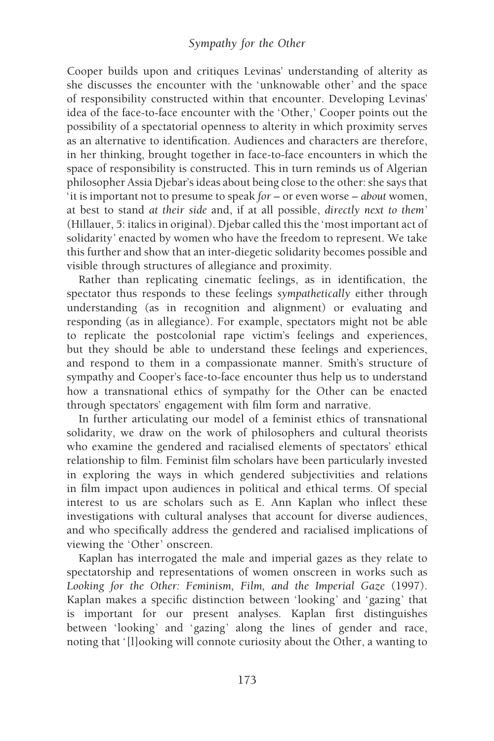Cooper builds upon and critiques Levinas' understanding of alterity as she discusses the encounter with the 'unknowable other' and the space of responsibility constructed within that encounter. Developing Levinas' idea of the face-to-face encounter with the 'Other,' Cooper points out the possibility of a spectatorial openness to alterity in which proximity serves as an alternative to identification. Audiences and characters are therefore, in her thinking, brought together in face-to-face encounters in which the space of responsibility is constructed. This in turn reminds us of Algerian philosopher Assia Djebar's ideas about being close to the other: she says that 'it is important not to presume to speak  $for - or$  even worse – about women, at best to stand at their side and, if at all possible, directly next to them' (Hillauer, 5: italics in original). Djebar called this the 'most important act of solidarity' enacted by women who have the freedom to represent. We take this further and show that an inter-diegetic solidarity becomes possible and visible through structures of allegiance and proximity.

Rather than replicating cinematic feelings, as in identification, the spectator thus responds to these feelings sympathetically either through understanding (as in recognition and alignment) or evaluating and responding (as in allegiance). For example, spectators might not be able to replicate the postcolonial rape victim's feelings and experiences, but they should be able to understand these feelings and experiences, and respond to them in a compassionate manner. Smith's structure of sympathy and Cooper's face-to-face encounter thus help us to understand how a transnational ethics of sympathy for the Other can be enacted through spectators' engagement with film form and narrative.

In further articulating our model of a feminist ethics of transnational solidarity, we draw on the work of philosophers and cultural theorists who examine the gendered and racialised elements of spectators' ethical relationship to film. Feminist film scholars have been particularly invested in exploring the ways in which gendered subjectivities and relations in film impact upon audiences in political and ethical terms. Of special interest to us are scholars such as E. Ann Kaplan who inflect these investigations with cultural analyses that account for diverse audiences, and who specifically address the gendered and racialised implications of viewing the 'Other' onscreen.

Kaplan has interrogated the male and imperial gazes as they relate to spectatorship and representations of women onscreen in works such as Looking for the Other: Feminism, Film, and the Imperial Gaze (1997). Kaplan makes a specific distinction between 'looking' and 'gazing' that is important for our present analyses. Kaplan first distinguishes between 'looking' and 'gazing' along the lines of gender and race, noting that '[l]ooking will connote curiosity about the Other, a wanting to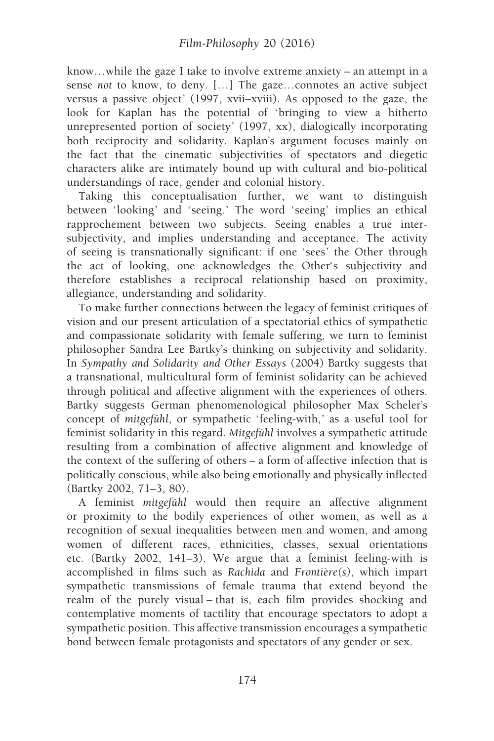know…while the gaze I take to involve extreme anxiety – an attempt in a sense not to know, to deny. […] The gaze…connotes an active subject versus a passive object' (1997, xvii–xviii). As opposed to the gaze, the look for Kaplan has the potential of 'bringing to view a hitherto unrepresented portion of society' (1997, xx), dialogically incorporating both reciprocity and solidarity. Kaplan's argument focuses mainly on the fact that the cinematic subjectivities of spectators and diegetic characters alike are intimately bound up with cultural and bio-political understandings of race, gender and colonial history.

Taking this conceptualisation further, we want to distinguish between 'looking' and 'seeing.' The word 'seeing' implies an ethical rapprochement between two subjects. Seeing enables a true intersubjectivity, and implies understanding and acceptance. The activity of seeing is transnationally significant: if one 'sees' the Other through the act of looking, one acknowledges the Other's subjectivity and therefore establishes a reciprocal relationship based on proximity, allegiance, understanding and solidarity.

To make further connections between the legacy of feminist critiques of vision and our present articulation of a spectatorial ethics of sympathetic and compassionate solidarity with female suffering, we turn to feminist philosopher Sandra Lee Bartky's thinking on subjectivity and solidarity. In Sympathy and Solidarity and Other Essays (2004) Bartky suggests that a transnational, multicultural form of feminist solidarity can be achieved through political and affective alignment with the experiences of others. Bartky suggests German phenomenological philosopher Max Scheler's concept of mitgefühl, or sympathetic 'feeling-with,' as a useful tool for feminist solidarity in this regard. Mitgefühl involves a sympathetic attitude resulting from a combination of affective alignment and knowledge of the context of the suffering of others – a form of affective infection that is politically conscious, while also being emotionally and physically inflected (Bartky 2002, 71–3, 80).

A feminist mitgefühl would then require an affective alignment or proximity to the bodily experiences of other women, as well as a recognition of sexual inequalities between men and women, and among women of different races, ethnicities, classes, sexual orientations etc. (Bartky 2002, 141–3). We argue that a feminist feeling-with is accomplished in films such as Rachida and Frontière $(s)$ , which impart sympathetic transmissions of female trauma that extend beyond the realm of the purely visual – that is, each film provides shocking and contemplative moments of tactility that encourage spectators to adopt a sympathetic position. This affective transmission encourages a sympathetic bond between female protagonists and spectators of any gender or sex.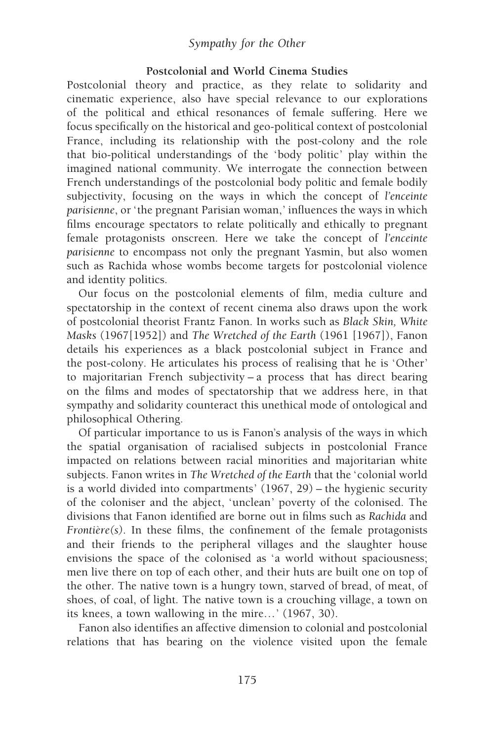## Sympathy for the Other

#### Postcolonial and World Cinema Studies

Postcolonial theory and practice, as they relate to solidarity and cinematic experience, also have special relevance to our explorations of the political and ethical resonances of female suffering. Here we focus specifically on the historical and geo-political context of postcolonial France, including its relationship with the post-colony and the role that bio-political understandings of the 'body politic' play within the imagined national community. We interrogate the connection between French understandings of the postcolonial body politic and female bodily subjectivity, focusing on the ways in which the concept of l'enceinte parisienne, or 'the pregnant Parisian woman,' influences the ways in which films encourage spectators to relate politically and ethically to pregnant female protagonists onscreen. Here we take the concept of l'enceinte parisienne to encompass not only the pregnant Yasmin, but also women such as Rachida whose wombs become targets for postcolonial violence and identity politics.

Our focus on the postcolonial elements of film, media culture and spectatorship in the context of recent cinema also draws upon the work of postcolonial theorist Frantz Fanon. In works such as Black Skin, White Masks (1967[1952]) and The Wretched of the Earth (1961 [1967]), Fanon details his experiences as a black postcolonial subject in France and the post-colony. He articulates his process of realising that he is 'Other ' to majoritarian French subjectivity – a process that has direct bearing on the films and modes of spectatorship that we address here, in that sympathy and solidarity counteract this unethical mode of ontological and philosophical Othering.

Of particular importance to us is Fanon's analysis of the ways in which the spatial organisation of racialised subjects in postcolonial France impacted on relations between racial minorities and majoritarian white subjects. Fanon writes in The Wretched of the Earth that the 'colonial world is a world divided into compartments'  $(1967, 29)$  – the hygienic security of the coloniser and the abject, 'unclean' poverty of the colonised. The divisions that Fanon identified are borne out in films such as Rachida and Frontière(s). In these films, the confinement of the female protagonists and their friends to the peripheral villages and the slaughter house envisions the space of the colonised as 'a world without spaciousness; men live there on top of each other, and their huts are built one on top of the other. The native town is a hungry town, starved of bread, of meat, of shoes, of coal, of light. The native town is a crouching village, a town on its knees, a town wallowing in the mire… ' (1967, 30).

Fanon also identifies an affective dimension to colonial and postcolonial relations that has bearing on the violence visited upon the female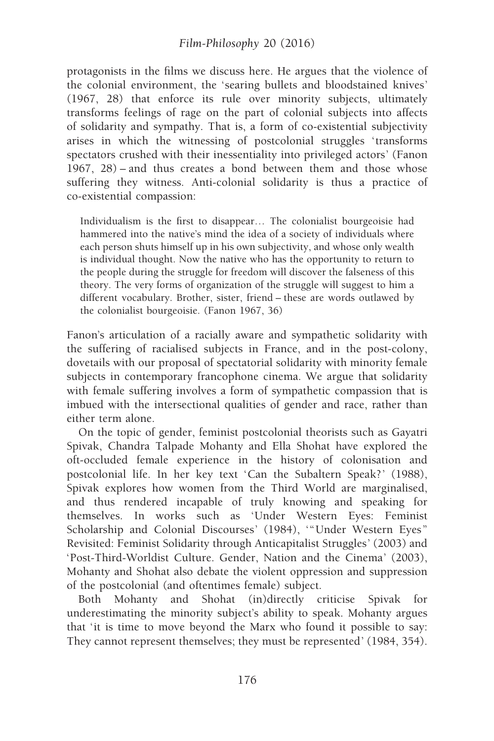## Film-Philosophy 20 (2016)

protagonists in the films we discuss here. He argues that the violence of the colonial environment, the 'searing bullets and bloodstained knives ' (1967, 28) that enforce its rule over minority subjects, ultimately transforms feelings of rage on the part of colonial subjects into affects of solidarity and sympathy. That is, a form of co-existential subjectivity arises in which the witnessing of postcolonial struggles 'transforms spectators crushed with their inessentiality into privileged actors' (Fanon 1967, 28) – and thus creates a bond between them and those whose suffering they witness. Anti-colonial solidarity is thus a practice of co-existential compassion:

Individualism is the first to disappear… The colonialist bourgeoisie had hammered into the native's mind the idea of a society of individuals where each person shuts himself up in his own subjectivity, and whose only wealth is individual thought. Now the native who has the opportunity to return to the people during the struggle for freedom will discover the falseness of this theory. The very forms of organization of the struggle will suggest to him a different vocabulary. Brother, sister, friend – these are words outlawed by the colonialist bourgeoisie. (Fanon 1967, 36)

Fanon's articulation of a racially aware and sympathetic solidarity with the suffering of racialised subjects in France, and in the post-colony, dovetails with our proposal of spectatorial solidarity with minority female subjects in contemporary francophone cinema. We argue that solidarity with female suffering involves a form of sympathetic compassion that is imbued with the intersectional qualities of gender and race, rather than either term alone.

On the topic of gender, feminist postcolonial theorists such as Gayatri Spivak, Chandra Talpade Mohanty and Ella Shohat have explored the oft-occluded female experience in the history of colonisation and postcolonial life. In her key text 'Can the Subaltern Speak? ' (1988), Spivak explores how women from the Third World are marginalised, and thus rendered incapable of truly knowing and speaking for themselves. In works such as 'Under Western Eyes: Feminist Scholarship and Colonial Discourses' (1984), "Under Western Eyes" Revisited: Feminist Solidarity through Anticapitalist Struggles ' (2003) and 'Post-Third-Worldist Culture. Gender, Nation and the Cinema' (2003), Mohanty and Shohat also debate the violent oppression and suppression of the postcolonial (and oftentimes female) subject.

Both Mohanty and Shohat (in)directly criticise Spivak for underestimating the minority subject's ability to speak. Mohanty argues that 'it is time to move beyond the Marx who found it possible to say: They cannot represent themselves; they must be represented' (1984, 354).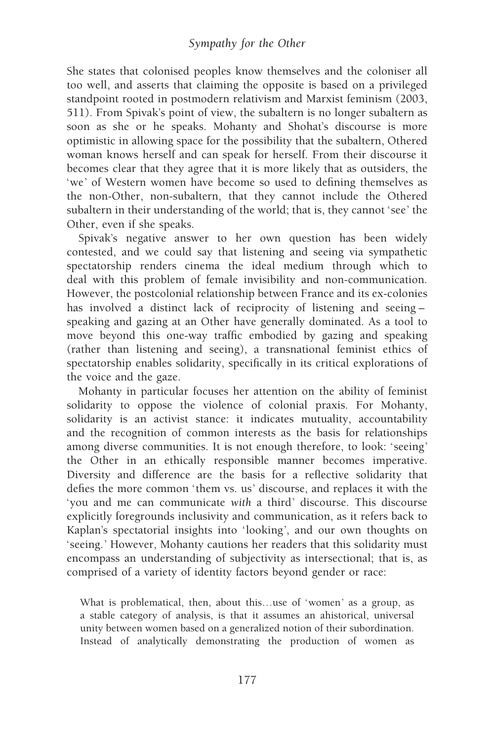She states that colonised peoples know themselves and the coloniser all too well, and asserts that claiming the opposite is based on a privileged standpoint rooted in postmodern relativism and Marxist feminism (2003, 511). From Spivak's point of view, the subaltern is no longer subaltern as soon as she or he speaks. Mohanty and Shohat's discourse is more optimistic in allowing space for the possibility that the subaltern, Othered woman knows herself and can speak for herself. From their discourse it becomes clear that they agree that it is more likely that as outsiders, the 'we' of Western women have become so used to defining themselves as the non-Other, non-subaltern, that they cannot include the Othered subaltern in their understanding of the world; that is, they cannot 'see ' the Other, even if she speaks.

Spivak's negative answer to her own question has been widely contested, and we could say that listening and seeing via sympathetic spectatorship renders cinema the ideal medium through which to deal with this problem of female invisibility and non-communication. However, the postcolonial relationship between France and its ex-colonies has involved a distinct lack of reciprocity of listening and seeing – speaking and gazing at an Other have generally dominated. As a tool to move beyond this one-way traffic embodied by gazing and speaking (rather than listening and seeing), a transnational feminist ethics of spectatorship enables solidarity, specifically in its critical explorations of the voice and the gaze.

Mohanty in particular focuses her attention on the ability of feminist solidarity to oppose the violence of colonial praxis. For Mohanty, solidarity is an activist stance: it indicates mutuality, accountability and the recognition of common interests as the basis for relationships among diverse communities. It is not enough therefore, to look: 'seeing ' the Other in an ethically responsible manner becomes imperative. Diversity and difference are the basis for a reflective solidarity that defies the more common 'them vs. us' discourse, and replaces it with the 'you and me can communicate with a third' discourse. This discourse explicitly foregrounds inclusivity and communication, as it refers back to Kaplan's spectatorial insights into 'looking', and our own thoughts on 'seeing. ' However, Mohanty cautions her readers that this solidarity must encompass an understanding of subjectivity as intersectional; that is, as comprised of a variety of identity factors beyond gender or race:

What is problematical, then, about this...use of 'women' as a group, as a stable category of analysis, is that it assumes an ahistorical, universal unity between women based on a generalized notion of their subordination. Instead of analytically demonstrating the production of women as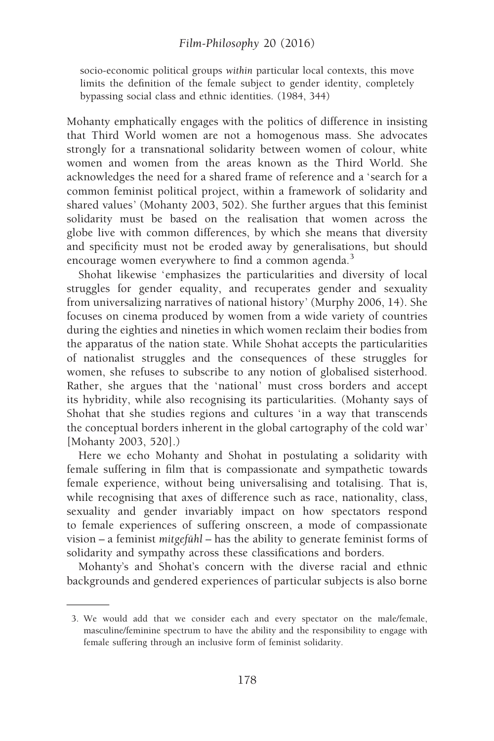#### Film-Philosophy 20 (2016)

socio-economic political groups within particular local contexts, this move limits the definition of the female subject to gender identity, completely bypassing social class and ethnic identities. (1984, 344)

Mohanty emphatically engages with the politics of difference in insisting that Third World women are not a homogenous mass. She advocates strongly for a transnational solidarity between women of colour, white women and women from the areas known as the Third World. She acknowledges the need for a shared frame of reference and a 'search for a common feminist political project, within a framework of solidarity and shared values' (Mohanty 2003, 502). She further argues that this feminist solidarity must be based on the realisation that women across the globe live with common differences, by which she means that diversity and specificity must not be eroded away by generalisations, but should encourage women everywhere to find a common agenda.<sup>3</sup>

Shohat likewise 'emphasizes the particularities and diversity of local struggles for gender equality, and recuperates gender and sexuality from universalizing narratives of national history ' (Murphy 2006, 14). She focuses on cinema produced by women from a wide variety of countries during the eighties and nineties in which women reclaim their bodies from the apparatus of the nation state. While Shohat accepts the particularities of nationalist struggles and the consequences of these struggles for women, she refuses to subscribe to any notion of globalised sisterhood. Rather, she argues that the 'national' must cross borders and accept its hybridity, while also recognising its particularities. (Mohanty says of Shohat that she studies regions and cultures 'in a way that transcends the conceptual borders inherent in the global cartography of the cold war ' [Mohanty 2003, 520].)

Here we echo Mohanty and Shohat in postulating a solidarity with female suffering in film that is compassionate and sympathetic towards female experience, without being universalising and totalising. That is, while recognising that axes of difference such as race, nationality, class, sexuality and gender invariably impact on how spectators respond to female experiences of suffering onscreen, a mode of compassionate vision – a feminist mitgefuhl – has the ability to generate feminist forms of solidarity and sympathy across these classifications and borders.

Mohanty's and Shohat's concern with the diverse racial and ethnic backgrounds and gendered experiences of particular subjects is also borne

<sup>3.</sup> We would add that we consider each and every spectator on the male/female, masculine/feminine spectrum to have the ability and the responsibility to engage with female suffering through an inclusive form of feminist solidarity.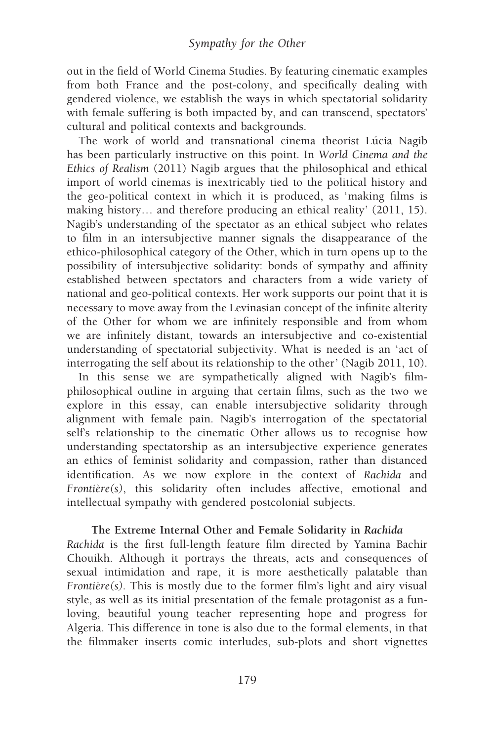out in the field of World Cinema Studies. By featuring cinematic examples from both France and the post-colony, and specifically dealing with gendered violence, we establish the ways in which spectatorial solidarity with female suffering is both impacted by, and can transcend, spectators' cultural and political contexts and backgrounds.

The work of world and transnational cinema theorist Lúcia Nagib has been particularly instructive on this point. In World Cinema and the Ethics of Realism (2011) Nagib argues that the philosophical and ethical import of world cinemas is inextricably tied to the political history and the geo-political context in which it is produced, as 'making films is making history... and therefore producing an ethical reality' (2011, 15). Nagib's understanding of the spectator as an ethical subject who relates to film in an intersubjective manner signals the disappearance of the ethico-philosophical category of the Other, which in turn opens up to the possibility of intersubjective solidarity: bonds of sympathy and affinity established between spectators and characters from a wide variety of national and geo-political contexts. Her work supports our point that it is necessary to move away from the Levinasian concept of the infinite alterity of the Other for whom we are infinitely responsible and from whom we are infinitely distant, towards an intersubjective and co-existential understanding of spectatorial subjectivity. What is needed is an 'act of interrogating the self about its relationship to the other ' (Nagib 2011, 10).

In this sense we are sympathetically aligned with Nagib's filmphilosophical outline in arguing that certain films, such as the two we explore in this essay, can enable intersubjective solidarity through alignment with female pain. Nagib's interrogation of the spectatorial self's relationship to the cinematic Other allows us to recognise how understanding spectatorship as an intersubjective experience generates an ethics of feminist solidarity and compassion, rather than distanced identification. As we now explore in the context of Rachida and Frontière(s), this solidarity often includes affective, emotional and intellectual sympathy with gendered postcolonial subjects.

#### The Extreme Internal Other and Female Solidarity in Rachida

Rachida is the first full-length feature film directed by Yamina Bachir Chouikh. Although it portrays the threats, acts and consequences of sexual intimidation and rape, it is more aesthetically palatable than Frontière(s). This is mostly due to the former film's light and airy visual style, as well as its initial presentation of the female protagonist as a funloving, beautiful young teacher representing hope and progress for Algeria. This difference in tone is also due to the formal elements, in that the filmmaker inserts comic interludes, sub-plots and short vignettes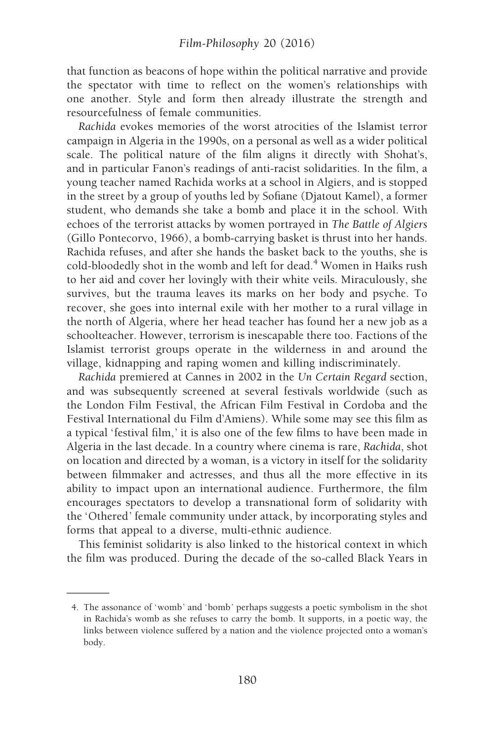that function as beacons of hope within the political narrative and provide the spectator with time to reflect on the women's relationships with one another. Style and form then already illustrate the strength and resourcefulness of female communities.

Rachida evokes memories of the worst atrocities of the Islamist terror campaign in Algeria in the 1990s, on a personal as well as a wider political scale. The political nature of the film aligns it directly with Shohat's, and in particular Fanon's readings of anti-racist solidarities. In the film, a young teacher named Rachida works at a school in Algiers, and is stopped in the street by a group of youths led by Sofiane (Djatout Kamel), a former student, who demands she take a bomb and place it in the school. With echoes of the terrorist attacks by women portrayed in The Battle of Algiers (Gillo Pontecorvo, 1966), a bomb-carrying basket is thrust into her hands. Rachida refuses, and after she hands the basket back to the youths, she is cold-bloodedly shot in the womb and left for dead.<sup>4</sup> Women in Haïks rush to her aid and cover her lovingly with their white veils. Miraculously, she survives, but the trauma leaves its marks on her body and psyche. To recover, she goes into internal exile with her mother to a rural village in the north of Algeria, where her head teacher has found her a new job as a schoolteacher. However, terrorism is inescapable there too. Factions of the Islamist terrorist groups operate in the wilderness in and around the village, kidnapping and raping women and killing indiscriminately.

Rachida premiered at Cannes in 2002 in the Un Certain Regard section, and was subsequently screened at several festivals worldwide (such as the London Film Festival, the African Film Festival in Cordoba and the Festival International du Film d'Amiens). While some may see this film as a typical 'festival film, ' it is also one of the few films to have been made in Algeria in the last decade. In a country where cinema is rare, Rachida, shot on location and directed by a woman, is a victory in itself for the solidarity between filmmaker and actresses, and thus all the more effective in its ability to impact upon an international audience. Furthermore, the film encourages spectators to develop a transnational form of solidarity with the 'Othered' female community under attack, by incorporating styles and forms that appeal to a diverse, multi-ethnic audience.

This feminist solidarity is also linked to the historical context in which the film was produced. During the decade of the so-called Black Years in

<sup>4.</sup> The assonance of 'womb' and 'bomb' perhaps suggests a poetic symbolism in the shot in Rachida's womb as she refuses to carry the bomb. It supports, in a poetic way, the links between violence suffered by a nation and the violence projected onto a woman's body.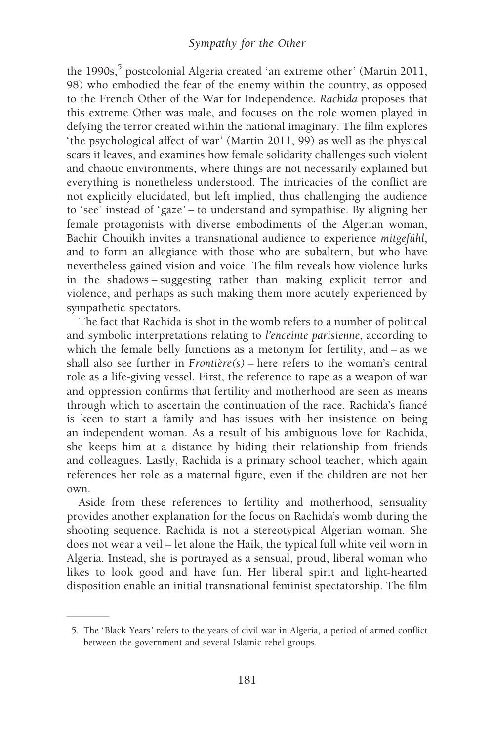## Sympathy for the Other

the 1990s,<sup>5</sup> postcolonial Algeria created 'an extreme other' (Martin 2011, 98) who embodied the fear of the enemy within the country, as opposed to the French Other of the War for Independence. Rachida proposes that this extreme Other was male, and focuses on the role women played in defying the terror created within the national imaginary. The film explores ' the psychological affect of war ' (Martin 2011, 99) as well as the physical scars it leaves, and examines how female solidarity challenges such violent and chaotic environments, where things are not necessarily explained but everything is nonetheless understood. The intricacies of the conflict are not explicitly elucidated, but left implied, thus challenging the audience to 'see' instead of 'gaze' – to understand and sympathise. By aligning her female protagonists with diverse embodiments of the Algerian woman, Bachir Chouikh invites a transnational audience to experience mitgefühl, and to form an allegiance with those who are subaltern, but who have nevertheless gained vision and voice. The film reveals how violence lurks in the shadows – suggesting rather than making explicit terror and violence, and perhaps as such making them more acutely experienced by sympathetic spectators.

The fact that Rachida is shot in the womb refers to a number of political and symbolic interpretations relating to l'enceinte parisienne, according to which the female belly functions as a metonym for fertility, and – as we shall also see further in  $Frontire(s)$  – here refers to the woman's central role as a life-giving vessel. First, the reference to rape as a weapon of war and oppression confirms that fertility and motherhood are seen as means through which to ascertain the continuation of the race. Rachida's fiance´ is keen to start a family and has issues with her insistence on being an independent woman. As a result of his ambiguous love for Rachida, she keeps him at a distance by hiding their relationship from friends and colleagues. Lastly, Rachida is a primary school teacher, which again references her role as a maternal figure, even if the children are not her own.

Aside from these references to fertility and motherhood, sensuality provides another explanation for the focus on Rachida's womb during the shooting sequence. Rachida is not a stereotypical Algerian woman. She does not wear a veil – let alone the Haïk, the typical full white veil worn in Algeria. Instead, she is portrayed as a sensual, proud, liberal woman who likes to look good and have fun. Her liberal spirit and light-hearted disposition enable an initial transnational feminist spectatorship. The film

<sup>5.</sup> The 'Black Years' refers to the years of civil war in Algeria, a period of armed conflict between the government and several Islamic rebel groups.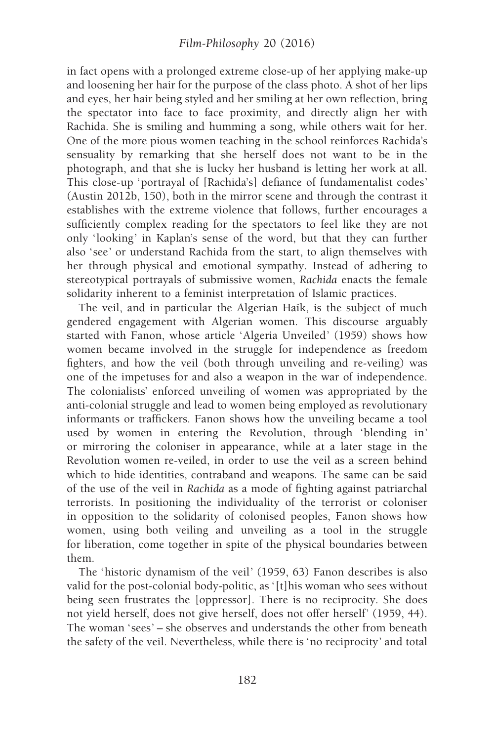in fact opens with a prolonged extreme close-up of her applying make-up and loosening her hair for the purpose of the class photo. A shot of her lips and eyes, her hair being styled and her smiling at her own reflection, bring the spectator into face to face proximity, and directly align her with Rachida. She is smiling and humming a song, while others wait for her. One of the more pious women teaching in the school reinforces Rachida's sensuality by remarking that she herself does not want to be in the photograph, and that she is lucky her husband is letting her work at all. This close-up 'portrayal of [Rachida's] defiance of fundamentalist codes ' (Austin 2012b, 150), both in the mirror scene and through the contrast it establishes with the extreme violence that follows, further encourages a sufficiently complex reading for the spectators to feel like they are not only 'looking' in Kaplan's sense of the word, but that they can further also 'see' or understand Rachida from the start, to align themselves with her through physical and emotional sympathy. Instead of adhering to stereotypical portrayals of submissive women, Rachida enacts the female solidarity inherent to a feminist interpretation of Islamic practices.

The veil, and in particular the Algerian Haïk, is the subject of much gendered engagement with Algerian women. This discourse arguably started with Fanon, whose article 'Algeria Unveiled' (1959) shows how women became involved in the struggle for independence as freedom fighters, and how the veil (both through unveiling and re-veiling) was one of the impetuses for and also a weapon in the war of independence. The colonialists' enforced unveiling of women was appropriated by the anti-colonial struggle and lead to women being employed as revolutionary informants or traffickers. Fanon shows how the unveiling became a tool used by women in entering the Revolution, through 'blending in' or mirroring the coloniser in appearance, while at a later stage in the Revolution women re-veiled, in order to use the veil as a screen behind which to hide identities, contraband and weapons. The same can be said of the use of the veil in Rachida as a mode of fighting against patriarchal terrorists. In positioning the individuality of the terrorist or coloniser in opposition to the solidarity of colonised peoples, Fanon shows how women, using both veiling and unveiling as a tool in the struggle for liberation, come together in spite of the physical boundaries between them.

The 'historic dynamism of the veil' (1959, 63) Fanon describes is also valid for the post-colonial body-politic, as '[t]his woman who sees without being seen frustrates the [oppressor]. There is no reciprocity. She does not yield herself, does not give herself, does not offer herself' (1959, 44). The woman 'sees ' – she observes and understands the other from beneath the safety of the veil. Nevertheless, while there is 'no reciprocity ' and total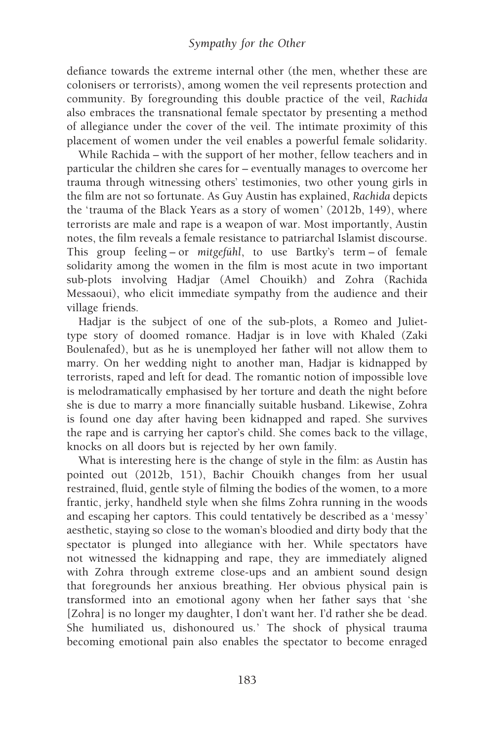defiance towards the extreme internal other (the men, whether these are colonisers or terrorists), among women the veil represents protection and community. By foregrounding this double practice of the veil, Rachida also embraces the transnational female spectator by presenting a method of allegiance under the cover of the veil. The intimate proximity of this placement of women under the veil enables a powerful female solidarity.

While Rachida – with the support of her mother, fellow teachers and in particular the children she cares for – eventually manages to overcome her trauma through witnessing others' testimonies, two other young girls in the film are not so fortunate. As Guy Austin has explained, Rachida depicts the 'trauma of the Black Years as a story of women' (2012b, 149), where terrorists are male and rape is a weapon of war. Most importantly, Austin notes, the film reveals a female resistance to patriarchal Islamist discourse. This group feeling – or mitgefuhl, to use Bartky's term – of female solidarity among the women in the film is most acute in two important sub-plots involving Hadjar (Amel Chouikh) and Zohra (Rachida Messaoui), who elicit immediate sympathy from the audience and their village friends.

Hadjar is the subject of one of the sub-plots, a Romeo and Juliettype story of doomed romance. Hadjar is in love with Khaled (Zaki Boulenafed), but as he is unemployed her father will not allow them to marry. On her wedding night to another man, Hadjar is kidnapped by terrorists, raped and left for dead. The romantic notion of impossible love is melodramatically emphasised by her torture and death the night before she is due to marry a more financially suitable husband. Likewise, Zohra is found one day after having been kidnapped and raped. She survives the rape and is carrying her captor's child. She comes back to the village, knocks on all doors but is rejected by her own family.

What is interesting here is the change of style in the film: as Austin has pointed out (2012b, 151), Bachir Chouikh changes from her usual restrained, fluid, gentle style of filming the bodies of the women, to a more frantic, jerky, handheld style when she films Zohra running in the woods and escaping her captors. This could tentatively be described as a 'messy ' aesthetic, staying so close to the woman's bloodied and dirty body that the spectator is plunged into allegiance with her. While spectators have not witnessed the kidnapping and rape, they are immediately aligned with Zohra through extreme close-ups and an ambient sound design that foregrounds her anxious breathing. Her obvious physical pain is transformed into an emotional agony when her father says that 'she [Zohra] is no longer my daughter, I don't want her. I'd rather she be dead. She humiliated us, dishonoured us.' The shock of physical trauma becoming emotional pain also enables the spectator to become enraged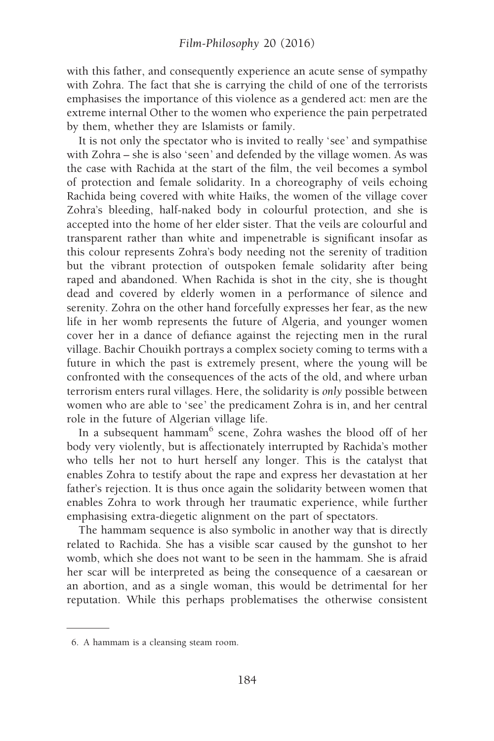with this father, and consequently experience an acute sense of sympathy with Zohra. The fact that she is carrying the child of one of the terrorists emphasises the importance of this violence as a gendered act: men are the extreme internal Other to the women who experience the pain perpetrated by them, whether they are Islamists or family.

It is not only the spectator who is invited to really 'see' and sympathise with Zohra – she is also 'seen ' and defended by the village women. As was the case with Rachida at the start of the film, the veil becomes a symbol of protection and female solidarity. In a choreography of veils echoing Rachida being covered with white Haïks, the women of the village cover Zohra's bleeding, half-naked body in colourful protection, and she is accepted into the home of her elder sister. That the veils are colourful and transparent rather than white and impenetrable is significant insofar as this colour represents Zohra's body needing not the serenity of tradition but the vibrant protection of outspoken female solidarity after being raped and abandoned. When Rachida is shot in the city, she is thought dead and covered by elderly women in a performance of silence and serenity. Zohra on the other hand forcefully expresses her fear, as the new life in her womb represents the future of Algeria, and younger women cover her in a dance of defiance against the rejecting men in the rural village. Bachir Chouikh portrays a complex society coming to terms with a future in which the past is extremely present, where the young will be confronted with the consequences of the acts of the old, and where urban terrorism enters rural villages. Here, the solidarity is only possible between women who are able to 'see' the predicament Zohra is in, and her central role in the future of Algerian village life.

In a subsequent hammam<sup>6</sup> scene, Zohra washes the blood off of her body very violently, but is affectionately interrupted by Rachida's mother who tells her not to hurt herself any longer. This is the catalyst that enables Zohra to testify about the rape and express her devastation at her father's rejection. It is thus once again the solidarity between women that enables Zohra to work through her traumatic experience, while further emphasising extra-diegetic alignment on the part of spectators.

The hammam sequence is also symbolic in another way that is directly related to Rachida. She has a visible scar caused by the gunshot to her womb, which she does not want to be seen in the hammam. She is afraid her scar will be interpreted as being the consequence of a caesarean or an abortion, and as a single woman, this would be detrimental for her reputation. While this perhaps problematises the otherwise consistent

<sup>6.</sup> A hammam is a cleansing steam room.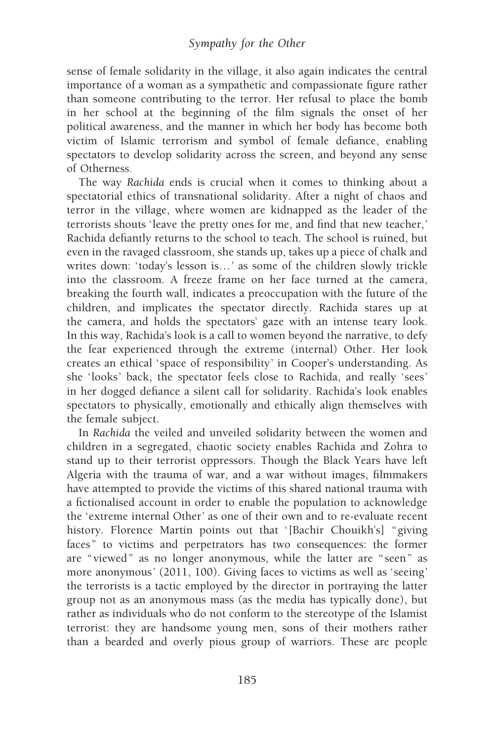sense of female solidarity in the village, it also again indicates the central importance of a woman as a sympathetic and compassionate figure rather than someone contributing to the terror. Her refusal to place the bomb in her school at the beginning of the film signals the onset of her political awareness, and the manner in which her body has become both victim of Islamic terrorism and symbol of female defiance, enabling spectators to develop solidarity across the screen, and beyond any sense of Otherness.

The way Rachida ends is crucial when it comes to thinking about a spectatorial ethics of transnational solidarity. After a night of chaos and terror in the village, where women are kidnapped as the leader of the terrorists shouts 'leave the pretty ones for me, and find that new teacher, ' Rachida defiantly returns to the school to teach. The school is ruined, but even in the ravaged classroom, she stands up, takes up a piece of chalk and writes down: 'today's lesson is...' as some of the children slowly trickle into the classroom. A freeze frame on her face turned at the camera, breaking the fourth wall, indicates a preoccupation with the future of the children, and implicates the spectator directly. Rachida stares up at the camera, and holds the spectators' gaze with an intense teary look. In this way, Rachida's look is a call to women beyond the narrative, to defy the fear experienced through the extreme (internal) Other. Her look creates an ethical 'space of responsibility ' in Cooper's understanding. As she 'looks ' back, the spectator feels close to Rachida, and really 'sees ' in her dogged defiance a silent call for solidarity. Rachida's look enables spectators to physically, emotionally and ethically align themselves with the female subject.

In Rachida the veiled and unveiled solidarity between the women and children in a segregated, chaotic society enables Rachida and Zohra to stand up to their terrorist oppressors. Though the Black Years have left Algeria with the trauma of war, and a war without images, filmmakers have attempted to provide the victims of this shared national trauma with a fictionalised account in order to enable the population to acknowledge the 'extreme internal Other' as one of their own and to re-evaluate recent history. Florence Martin points out that '[Bachir Chouikh's] "giving faces" to victims and perpetrators has two consequences: the former are "viewed" as no longer anonymous, while the latter are " seen" as more anonymous' (2011, 100). Giving faces to victims as well as 'seeing' the terrorists is a tactic employed by the director in portraying the latter group not as an anonymous mass (as the media has typically done), but rather as individuals who do not conform to the stereotype of the Islamist terrorist: they are handsome young men, sons of their mothers rather than a bearded and overly pious group of warriors. These are people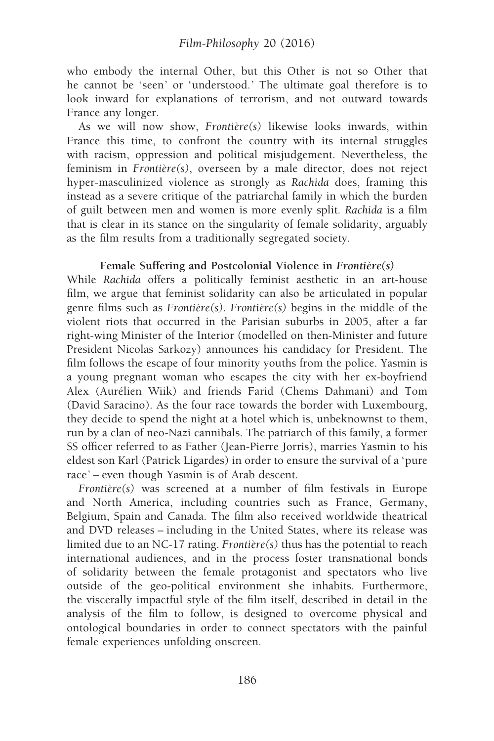who embody the internal Other, but this Other is not so Other that he cannot be 'seen' or 'understood.' The ultimate goal therefore is to look inward for explanations of terrorism, and not outward towards France any longer.

As we will now show,  $Frontière(s)$  likewise looks inwards, within France this time, to confront the country with its internal struggles with racism, oppression and political misjudgement. Nevertheless, the feminism in  $Frontière(s)$ , overseen by a male director, does not reject hyper-masculinized violence as strongly as Rachida does, framing this instead as a severe critique of the patriarchal family in which the burden of guilt between men and women is more evenly split. Rachida is a film that is clear in its stance on the singularity of female solidarity, arguably as the film results from a traditionally segregated society.

#### Female Suffering and Postcolonial Violence in  $Frontire(s)$

While Rachida offers a politically feminist aesthetic in an art-house film, we argue that feminist solidarity can also be articulated in popular genre films such as  $Frontière(s)$ . Frontière(s) begins in the middle of the violent riots that occurred in the Parisian suburbs in 2005, after a far right-wing Minister of the Interior (modelled on then-Minister and future President Nicolas Sarkozy) announces his candidacy for President. The film follows the escape of four minority youths from the police. Yasmin is a young pregnant woman who escapes the city with her ex-boyfriend Alex (Aurélien Wiik) and friends Farid (Chems Dahmani) and Tom (David Saracino). As the four race towards the border with Luxembourg, they decide to spend the night at a hotel which is, unbeknownst to them, run by a clan of neo-Nazi cannibals. The patriarch of this family, a former SS officer referred to as Father (Jean-Pierre Jorris), marries Yasmin to his eldest son Karl (Patrick Ligardes) in order to ensure the survival of a 'pure race' – even though Yasmin is of Arab descent.

 $Frontière(s)$  was screened at a number of film festivals in Europe and North America, including countries such as France, Germany, Belgium, Spain and Canada. The film also received worldwide theatrical and DVD releases – including in the United States, where its release was limited due to an NC-17 rating. Frontière(s) thus has the potential to reach international audiences, and in the process foster transnational bonds of solidarity between the female protagonist and spectators who live outside of the geo-political environment she inhabits. Furthermore, the viscerally impactful style of the film itself, described in detail in the analysis of the film to follow, is designed to overcome physical and ontological boundaries in order to connect spectators with the painful female experiences unfolding onscreen.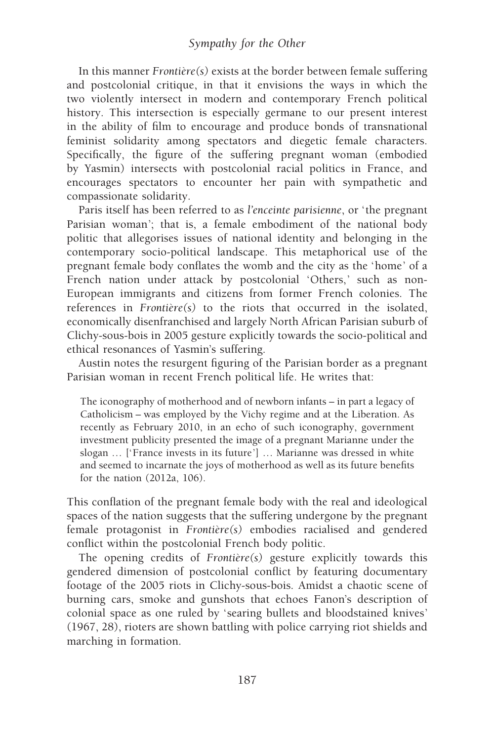In this manner  $Frontire(s)$  exists at the border between female suffering and postcolonial critique, in that it envisions the ways in which the two violently intersect in modern and contemporary French political history. This intersection is especially germane to our present interest in the ability of film to encourage and produce bonds of transnational feminist solidarity among spectators and diegetic female characters. Specifically, the figure of the suffering pregnant woman (embodied by Yasmin) intersects with postcolonial racial politics in France, and encourages spectators to encounter her pain with sympathetic and compassionate solidarity.

Paris itself has been referred to as *l'enceinte parisienne*, or 'the pregnant Parisian woman'; that is, a female embodiment of the national body politic that allegorises issues of national identity and belonging in the contemporary socio-political landscape. This metaphorical use of the pregnant female body conflates the womb and the city as the 'home ' of a French nation under attack by postcolonial 'Others,' such as non-European immigrants and citizens from former French colonies. The references in  $Frontière(s)$  to the riots that occurred in the isolated, economically disenfranchised and largely North African Parisian suburb of Clichy-sous-bois in 2005 gesture explicitly towards the socio-political and ethical resonances of Yasmin's suffering.

Austin notes the resurgent figuring of the Parisian border as a pregnant Parisian woman in recent French political life. He writes that:

The iconography of motherhood and of newborn infants – in part a legacy of Catholicism – was employed by the Vichy regime and at the Liberation. As recently as February 2010, in an echo of such iconography, government investment publicity presented the image of a pregnant Marianne under the slogan ... ['France invests in its future'] ... Marianne was dressed in white and seemed to incarnate the joys of motherhood as well as its future benefits for the nation (2012a, 106).

This conflation of the pregnant female body with the real and ideological spaces of the nation suggests that the suffering undergone by the pregnant female protagonist in  $Frontire(s)$  embodies racialised and gendered conflict within the postcolonial French body politic.

The opening credits of  $Frontière(s)$  gesture explicitly towards this gendered dimension of postcolonial conflict by featuring documentary footage of the 2005 riots in Clichy-sous-bois. Amidst a chaotic scene of burning cars, smoke and gunshots that echoes Fanon's description of colonial space as one ruled by 'searing bullets and bloodstained knives ' (1967, 28), rioters are shown battling with police carrying riot shields and marching in formation.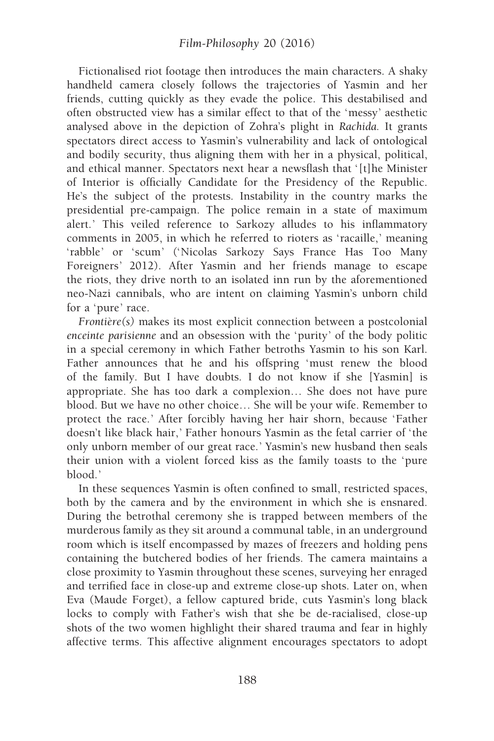Fictionalised riot footage then introduces the main characters. A shaky handheld camera closely follows the trajectories of Yasmin and her friends, cutting quickly as they evade the police. This destabilised and often obstructed view has a similar effect to that of the 'messy' aesthetic analysed above in the depiction of Zohra's plight in Rachida. It grants spectators direct access to Yasmin's vulnerability and lack of ontological and bodily security, thus aligning them with her in a physical, political, and ethical manner. Spectators next hear a newsflash that ' [t]he Minister of Interior is officially Candidate for the Presidency of the Republic. He's the subject of the protests. Instability in the country marks the presidential pre-campaign. The police remain in a state of maximum alert.' This veiled reference to Sarkozy alludes to his inflammatory comments in 2005, in which he referred to rioters as 'racaille,' meaning 'rabble' or 'scum' ('Nicolas Sarkozy Says France Has Too Many Foreigners' 2012). After Yasmin and her friends manage to escape the riots, they drive north to an isolated inn run by the aforementioned neo-Nazi cannibals, who are intent on claiming Yasmin's unborn child for a 'pure' race.

 $Frontière(s)$  makes its most explicit connection between a postcolonial enceinte parisienne and an obsession with the 'purity ' of the body politic in a special ceremony in which Father betroths Yasmin to his son Karl. Father announces that he and his offspring 'must renew the blood of the family. But I have doubts. I do not know if she [Yasmin] is appropriate. She has too dark a complexion… She does not have pure blood. But we have no other choice… She will be your wife. Remember to protect the race. ' After forcibly having her hair shorn, because 'Father doesn't like black hair, ' Father honours Yasmin as the fetal carrier of ' the only unborn member of our great race. ' Yasmin's new husband then seals their union with a violent forced kiss as the family toasts to the 'pure blood. '

In these sequences Yasmin is often confined to small, restricted spaces, both by the camera and by the environment in which she is ensnared. During the betrothal ceremony she is trapped between members of the murderous family as they sit around a communal table, in an underground room which is itself encompassed by mazes of freezers and holding pens containing the butchered bodies of her friends. The camera maintains a close proximity to Yasmin throughout these scenes, surveying her enraged and terrified face in close-up and extreme close-up shots. Later on, when Eva (Maude Forget), a fellow captured bride, cuts Yasmin's long black locks to comply with Father's wish that she be de-racialised, close-up shots of the two women highlight their shared trauma and fear in highly affective terms. This affective alignment encourages spectators to adopt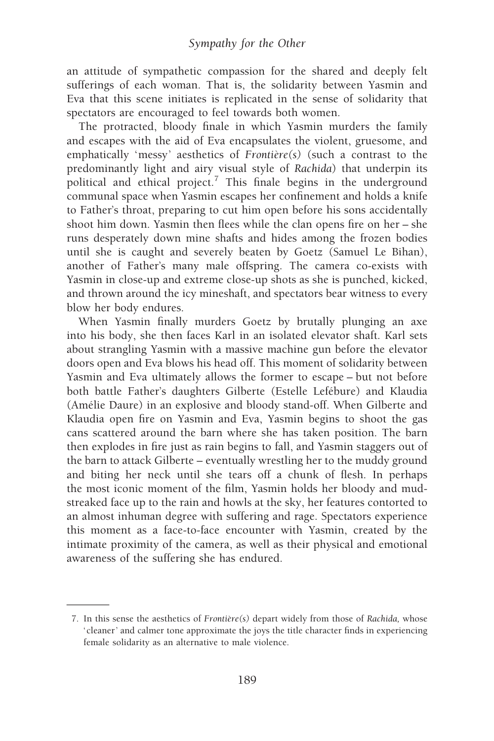an attitude of sympathetic compassion for the shared and deeply felt sufferings of each woman. That is, the solidarity between Yasmin and Eva that this scene initiates is replicated in the sense of solidarity that spectators are encouraged to feel towards both women.

The protracted, bloody finale in which Yasmin murders the family and escapes with the aid of Eva encapsulates the violent, gruesome, and emphatically 'messy' aesthetics of  $Frontière(s)$  (such a contrast to the predominantly light and airy visual style of Rachida) that underpin its political and ethical project.<sup>7</sup> This finale begins in the underground communal space when Yasmin escapes her confinement and holds a knife to Father's throat, preparing to cut him open before his sons accidentally shoot him down. Yasmin then flees while the clan opens fire on her – she runs desperately down mine shafts and hides among the frozen bodies until she is caught and severely beaten by Goetz (Samuel Le Bihan), another of Father's many male offspring. The camera co-exists with Yasmin in close-up and extreme close-up shots as she is punched, kicked, and thrown around the icy mineshaft, and spectators bear witness to every blow her body endures.

When Yasmin finally murders Goetz by brutally plunging an axe into his body, she then faces Karl in an isolated elevator shaft. Karl sets about strangling Yasmin with a massive machine gun before the elevator doors open and Eva blows his head off. This moment of solidarity between Yasmin and Eva ultimately allows the former to escape – but not before both battle Father's daughters Gilberte (Estelle Lefébure) and Klaudia (Amélie Daure) in an explosive and bloody stand-off. When Gilberte and Klaudia open fire on Yasmin and Eva, Yasmin begins to shoot the gas cans scattered around the barn where she has taken position. The barn then explodes in fire just as rain begins to fall, and Yasmin staggers out of the barn to attack Gilberte – eventually wrestling her to the muddy ground and biting her neck until she tears off a chunk of flesh. In perhaps the most iconic moment of the film, Yasmin holds her bloody and mudstreaked face up to the rain and howls at the sky, her features contorted to an almost inhuman degree with suffering and rage. Spectators experience this moment as a face-to-face encounter with Yasmin, created by the intimate proximity of the camera, as well as their physical and emotional awareness of the suffering she has endured.

<sup>7.</sup> In this sense the aesthetics of  $Frontière(s)$  depart widely from those of Rachida, whose ' cleaner' and calmer tone approximate the joys the title character finds in experiencing female solidarity as an alternative to male violence.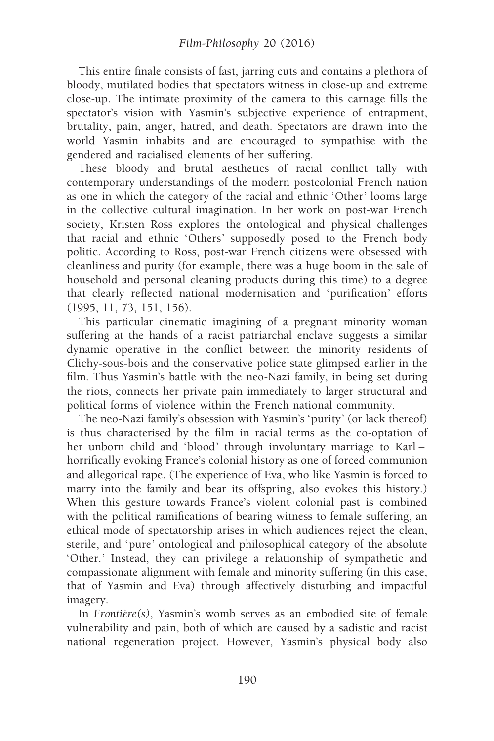This entire finale consists of fast, jarring cuts and contains a plethora of bloody, mutilated bodies that spectators witness in close-up and extreme close-up. The intimate proximity of the camera to this carnage fills the spectator's vision with Yasmin's subjective experience of entrapment, brutality, pain, anger, hatred, and death. Spectators are drawn into the world Yasmin inhabits and are encouraged to sympathise with the gendered and racialised elements of her suffering.

These bloody and brutal aesthetics of racial conflict tally with contemporary understandings of the modern postcolonial French nation as one in which the category of the racial and ethnic 'Other' looms large in the collective cultural imagination. In her work on post-war French society, Kristen Ross explores the ontological and physical challenges that racial and ethnic 'Others' supposedly posed to the French body politic. According to Ross, post-war French citizens were obsessed with cleanliness and purity (for example, there was a huge boom in the sale of household and personal cleaning products during this time) to a degree that clearly reflected national modernisation and 'purification' efforts (1995, 11, 73, 151, 156).

This particular cinematic imagining of a pregnant minority woman suffering at the hands of a racist patriarchal enclave suggests a similar dynamic operative in the conflict between the minority residents of Clichy-sous-bois and the conservative police state glimpsed earlier in the film. Thus Yasmin's battle with the neo-Nazi family, in being set during the riots, connects her private pain immediately to larger structural and political forms of violence within the French national community.

The neo-Nazi family's obsession with Yasmin's 'purity ' (or lack thereof) is thus characterised by the film in racial terms as the co-optation of her unborn child and 'blood' through involuntary marriage to Karl horrifically evoking France's colonial history as one of forced communion and allegorical rape. (The experience of Eva, who like Yasmin is forced to marry into the family and bear its offspring, also evokes this history.) When this gesture towards France's violent colonial past is combined with the political ramifications of bearing witness to female suffering, an ethical mode of spectatorship arises in which audiences reject the clean, sterile, and 'pure' ontological and philosophical category of the absolute 'Other.' Instead, they can privilege a relationship of sympathetic and compassionate alignment with female and minority suffering (in this case, that of Yasmin and Eva) through affectively disturbing and impactful imagery.

In Frontière $(s)$ , Yasmin's womb serves as an embodied site of female vulnerability and pain, both of which are caused by a sadistic and racist national regeneration project. However, Yasmin's physical body also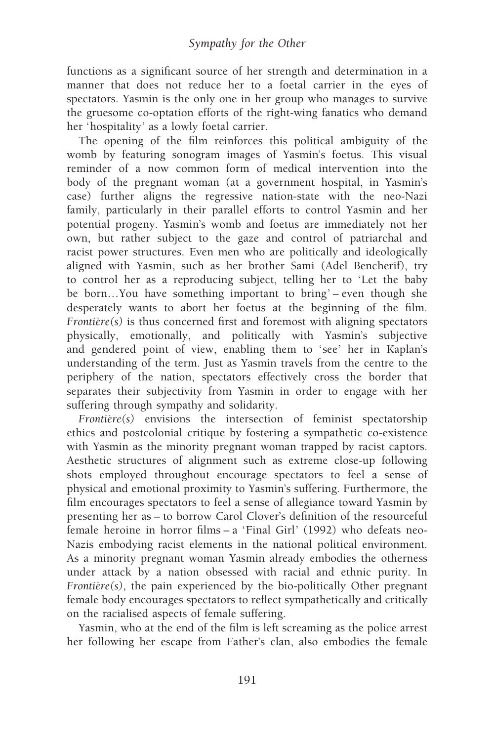functions as a significant source of her strength and determination in a manner that does not reduce her to a foetal carrier in the eyes of spectators. Yasmin is the only one in her group who manages to survive the gruesome co-optation efforts of the right-wing fanatics who demand her 'hospitality' as a lowly foetal carrier.

The opening of the film reinforces this political ambiguity of the womb by featuring sonogram images of Yasmin's foetus. This visual reminder of a now common form of medical intervention into the body of the pregnant woman (at a government hospital, in Yasmin's case) further aligns the regressive nation-state with the neo-Nazi family, particularly in their parallel efforts to control Yasmin and her potential progeny. Yasmin's womb and foetus are immediately not her own, but rather subject to the gaze and control of patriarchal and racist power structures. Even men who are politically and ideologically aligned with Yasmin, such as her brother Sami (Adel Bencherif), try to control her as a reproducing subject, telling her to 'Let the baby be born...You have something important to bring' – even though she desperately wants to abort her foetus at the beginning of the film.  $Frontière(s)$  is thus concerned first and foremost with aligning spectators physically, emotionally, and politically with Yasmin's subjective and gendered point of view, enabling them to 'see' her in Kaplan's understanding of the term. Just as Yasmin travels from the centre to the periphery of the nation, spectators effectively cross the border that separates their subjectivity from Yasmin in order to engage with her suffering through sympathy and solidarity.

 $Frontière(s)$  envisions the intersection of feminist spectatorship ethics and postcolonial critique by fostering a sympathetic co-existence with Yasmin as the minority pregnant woman trapped by racist captors. Aesthetic structures of alignment such as extreme close-up following shots employed throughout encourage spectators to feel a sense of physical and emotional proximity to Yasmin's suffering. Furthermore, the film encourages spectators to feel a sense of allegiance toward Yasmin by presenting her as – to borrow Carol Clover's definition of the resourceful female heroine in horror films  $- a$  'Final Girl' (1992) who defeats neo-Nazis embodying racist elements in the national political environment. As a minority pregnant woman Yasmin already embodies the otherness under attack by a nation obsessed with racial and ethnic purity. In Frontière $(s)$ , the pain experienced by the bio-politically Other pregnant female body encourages spectators to reflect sympathetically and critically on the racialised aspects of female suffering.

Yasmin, who at the end of the film is left screaming as the police arrest her following her escape from Father's clan, also embodies the female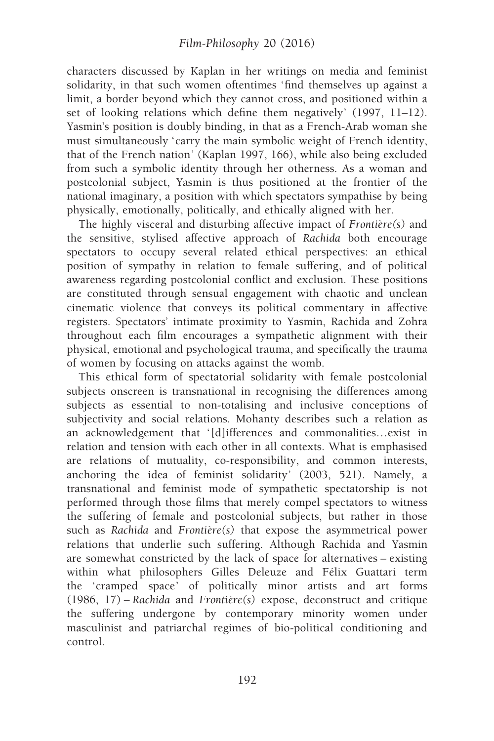characters discussed by Kaplan in her writings on media and feminist solidarity, in that such women oftentimes 'find themselves up against a limit, a border beyond which they cannot cross, and positioned within a set of looking relations which define them negatively' (1997, 11–12). Yasmin's position is doubly binding, in that as a French-Arab woman she must simultaneously 'carry the main symbolic weight of French identity, that of the French nation' (Kaplan 1997, 166), while also being excluded from such a symbolic identity through her otherness. As a woman and postcolonial subject, Yasmin is thus positioned at the frontier of the national imaginary, a position with which spectators sympathise by being physically, emotionally, politically, and ethically aligned with her.

The highly visceral and disturbing affective impact of  $Frontière(s)$  and the sensitive, stylised affective approach of Rachida both encourage spectators to occupy several related ethical perspectives: an ethical position of sympathy in relation to female suffering, and of political awareness regarding postcolonial conflict and exclusion. These positions are constituted through sensual engagement with chaotic and unclean cinematic violence that conveys its political commentary in affective registers. Spectators' intimate proximity to Yasmin, Rachida and Zohra throughout each film encourages a sympathetic alignment with their physical, emotional and psychological trauma, and specifically the trauma of women by focusing on attacks against the womb.

This ethical form of spectatorial solidarity with female postcolonial subjects onscreen is transnational in recognising the differences among subjects as essential to non-totalising and inclusive conceptions of subjectivity and social relations. Mohanty describes such a relation as an acknowledgement that '[d]ifferences and commonalities...exist in relation and tension with each other in all contexts. What is emphasised are relations of mutuality, co-responsibility, and common interests, anchoring the idea of feminist solidarity' (2003, 521). Namely, a transnational and feminist mode of sympathetic spectatorship is not performed through those films that merely compel spectators to witness the suffering of female and postcolonial subjects, but rather in those such as Rachida and Frontière(s) that expose the asymmetrical power relations that underlie such suffering. Although Rachida and Yasmin are somewhat constricted by the lack of space for alternatives – existing within what philosophers Gilles Deleuze and Félix Guattari term the 'cramped space' of politically minor artists and art forms  $(1986, 17)$  – Rachida and Frontière(s) expose, deconstruct and critique the suffering undergone by contemporary minority women under masculinist and patriarchal regimes of bio-political conditioning and control.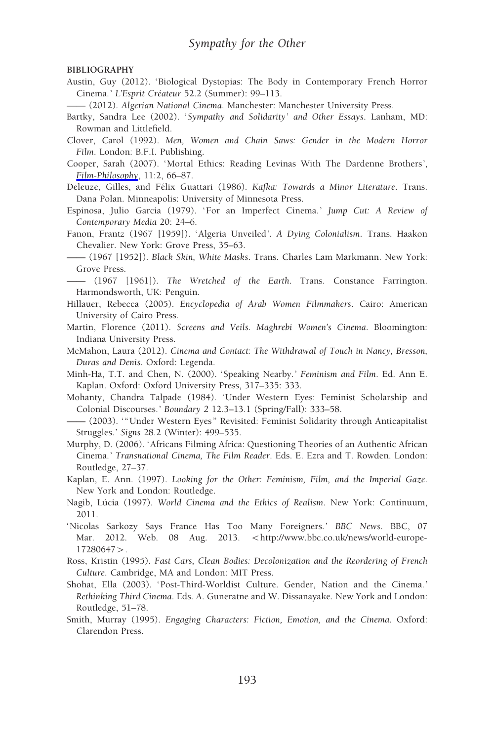BIBLIOGRAPHY

- Austin, Guy (2012). ' Biological Dystopias: The Body in Contemporary French Horror Cinema.' L'Esprit Créateur 52.2 (Summer): 99-113.
- —— (2012). Algerian National Cinema. Manchester: Manchester University Press.
- Bartky, Sandra Lee (2002). 'Sympathy and Solidarity' and Other Essays. Lanham, MD: Rowman and Littlefield.
- Clover, Carol (1992). Men, Women and Chain Saws: Gender in the Modern Horror Film. London: B.F.I. Publishing.
- Cooper, Sarah (2007). 'Mortal Ethics: Reading Levinas With The Dardenne Brothers ', [Film-Philosophy](https://www.euppublishing.com/action/showLinks?doi=10.3366%2Ffilm.2016.0009&system=10.3366%2Ffilm.2007.0011&citationId=p_5), 11:2, 66–87.

Deleuze, Gilles, and Félix Guattari (1986). Kafka: Towards a Minor Literature. Trans. Dana Polan. Minneapolis: University of Minnesota Press.

- Espinosa, Julio Garcia (1979). 'For an Imperfect Cinema.' Jump Cut: A Review of Contemporary Media 20: 24–6.
- Fanon, Frantz (1967 [1959]). 'Algeria Unveiled'. A Dying Colonialism. Trans. Haakon Chevalier. New York: Grove Press, 35–63.

—— (1967 [1952]). Black Skin, White Masks. Trans. Charles Lam Markmann. New York: Grove Press.

- —— (1967 [1961]). The Wretched of the Earth. Trans. Constance Farrington. Harmondsworth, UK: Penguin.
- Hillauer, Rebecca (2005). Encyclopedia of Arab Women Filmmakers. Cairo: American University of Cairo Press.
- Martin, Florence (2011). Screens and Veils. Maghrebi Women's Cinema. Bloomington: Indiana University Press.
- McMahon, Laura (2012). Cinema and Contact: The Withdrawal of Touch in Nancy, Bresson, Duras and Denis. Oxford: Legenda.
- Minh-Ha, T.T. and Chen, N. (2000). 'Speaking Nearby. ' Feminism and Film. Ed. Ann E. Kaplan. Oxford: Oxford University Press, 317–335: 333.
- Mohanty, Chandra Talpade (1984). 'Under Western Eyes: Feminist Scholarship and Colonial Discourses. ' Boundary 2 12.3–13.1 (Spring/Fall): 333–58.
- —— (2003). ' "Under Western Eyes " Revisited: Feminist Solidarity through Anticapitalist Struggles.' Signs 28.2 (Winter): 499-535.
- Murphy, D. (2006). 'Africans Filming Africa: Questioning Theories of an Authentic African Cinema. ' Transnational Cinema, The Film Reader. Eds. E. Ezra and T. Rowden. London: Routledge, 27–37.
- Kaplan, E. Ann. (1997). Looking for the Other: Feminism, Film, and the Imperial Gaze. New York and London: Routledge.
- Nagib, Lúcia (1997). World Cinema and the Ethics of Realism. New York: Continuum, 2011.
- 'Nicolas Sarkozy Says France Has Too Many Foreigners. ' BBC News. BBC, 07 Mar. 2012. Web. 08 Aug. 2013. <http://www.bbc.co.uk/news/world-europe-17280647>.
- Ross, Kristin (1995). Fast Cars, Clean Bodies: Decolonization and the Reordering of French Culture. Cambridge, MA and London: MIT Press.
- Shohat, Ella (2003). ' Post-Third-Worldist Culture. Gender, Nation and the Cinema. ' Rethinking Third Cinema. Eds. A. Guneratne and W. Dissanayake. New York and London: Routledge, 51–78.
- Smith, Murray (1995). Engaging Characters: Fiction, Emotion, and the Cinema. Oxford: Clarendon Press.